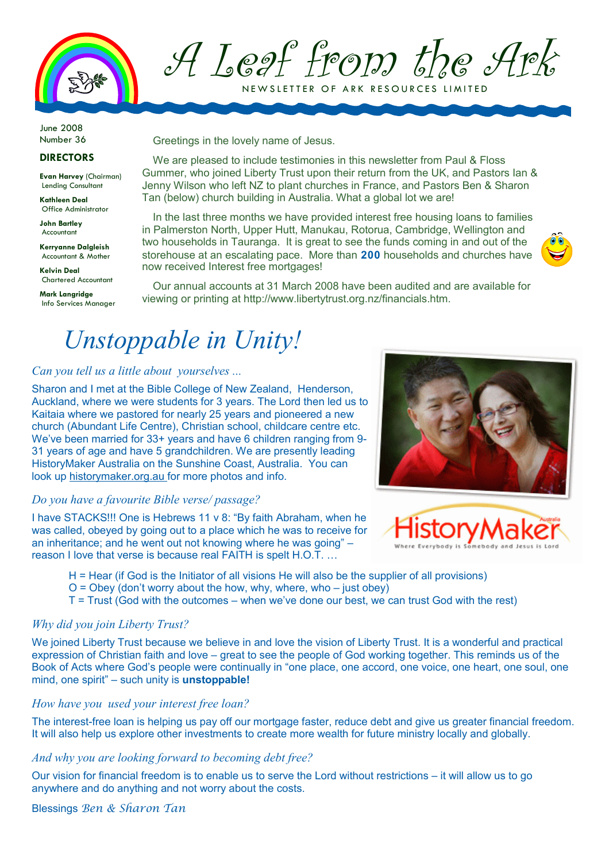

A Leaf from the Ark

NEW SLETTER OF ARK RESOURCES LIMITED

June 2008 Number 36

#### DIRECTORS

Evan Harvey (Chairman) Lending Consultant

Kathleen Deal Office Administrator

John Bartley Accountant

Kerryanne Dalgleish Accountant & Mother

Kelvin Deal Chartered Accountant

Mark Langridge Info Services Manager Greetings in the lovely name of Jesus.

We are pleased to include testimonies in this newsletter from Paul & Floss Gummer, who joined Liberty Trust upon their return from the UK, and Pastors Ian & Jenny Wilson who left NZ to plant churches in France, and Pastors Ben & Sharon Tan (below) church building in Australia. What a global lot we are!

In the last three months we have provided interest free housing loans to families in Palmerston North, Upper Hutt, Manukau, Rotorua, Cambridge, Wellington and two households in Tauranga. It is great to see the funds coming in and out of the storehouse at an escalating pace. More than 200 households and churches have now received Interest free mortgages!



Our annual accounts at 31 March 2008 have been audited and are available for viewing or printing at http://www.libertytrust.org.nz/financials.htm.

### Unstoppable in Unity!

### Can you tell us a little about yourselves ...

Sharon and I met at the Bible College of New Zealand, Henderson, Auckland, where we were students for 3 years. The Lord then led us to Kaitaia where we pastored for nearly 25 years and pioneered a new church (Abundant Life Centre), Christian school, childcare centre etc. We've been married for 33+ years and have 6 children ranging from 9- 31 years of age and have 5 grandchildren. We are presently leading HistoryMaker Australia on the Sunshine Coast, Australia. You can look up historymaker.org.au for more photos and info.

#### Do you have a favourite Bible verse/ passage?

I have STACKS!!! One is Hebrews 11 v 8: "By faith Abraham, when he was called, obeyed by going out to a place which he was to receive for an inheritance; and he went out not knowing where he was going" – reason I love that verse is because real FAITH is spelt H.O.T. …



- H = Hear (if God is the Initiator of all visions He will also be the supplier of all provisions)
- $O = O$  ovey (don't worry about the how, why, where, who just obey)
- T = Trust (God with the outcomes when we've done our best, we can trust God with the rest)

### Why did you join Liberty Trust?

We joined Liberty Trust because we believe in and love the vision of Liberty Trust. It is a wonderful and practical expression of Christian faith and love – great to see the people of God working together. This reminds us of the Book of Acts where God's people were continually in "one place, one accord, one voice, one heart, one soul, one mind, one spirit" – such unity is **unstoppable!** 

### How have you used your interest free loan?

The interest-free loan is helping us pay off our mortgage faster, reduce debt and give us greater financial freedom. It will also help us explore other investments to create more wealth for future ministry locally and globally.

#### And why you are looking forward to becoming debt free?

Our vision for financial freedom is to enable us to serve the Lord without restrictions – it will allow us to go anywhere and do anything and not worry about the costs.

Blessings Ben & Sharon Tan